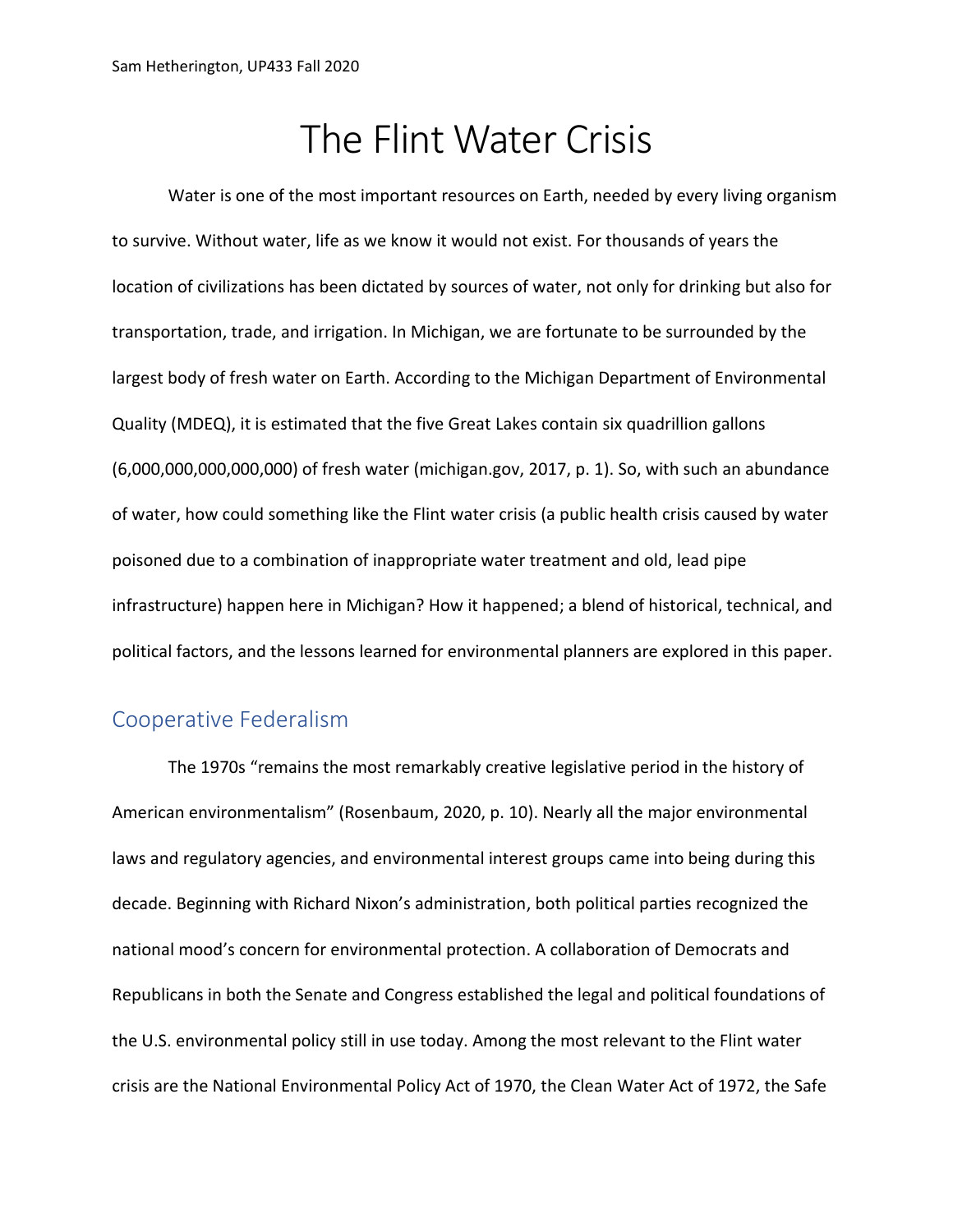# The Flint Water Crisis

Water is one of the most important resources on Earth, needed by every living organism to survive. Without water, life as we know it would not exist. For thousands of years the location of civilizations has been dictated by sources of water, not only for drinking but also for transportation, trade, and irrigation. In Michigan, we are fortunate to be surrounded by the largest body of fresh water on Earth. According to the Michigan Department of Environmental Quality (MDEQ), it is estimated that the five Great Lakes contain six quadrillion gallons (6,000,000,000,000,000) of fresh water (michigan.gov, 2017, p. 1). So, with such an abundance of water, how could something like the Flint water crisis (a public health crisis caused by water poisoned due to a combination of inappropriate water treatment and old, lead pipe infrastructure) happen here in Michigan? How it happened; a blend of historical, technical, and political factors, and the lessons learned for environmental planners are explored in this paper.

## Cooperative Federalism

The 1970s "remains the most remarkably creative legislative period in the history of American environmentalism" (Rosenbaum, 2020, p. 10). Nearly all the major environmental laws and regulatory agencies, and environmental interest groups came into being during this decade. Beginning with Richard Nixon's administration, both political parties recognized the national mood's concern for environmental protection. A collaboration of Democrats and Republicans in both the Senate and Congress established the legal and political foundations of the U.S. environmental policy still in use today. Among the most relevant to the Flint water crisis are the National Environmental Policy Act of 1970, the Clean Water Act of 1972, the Safe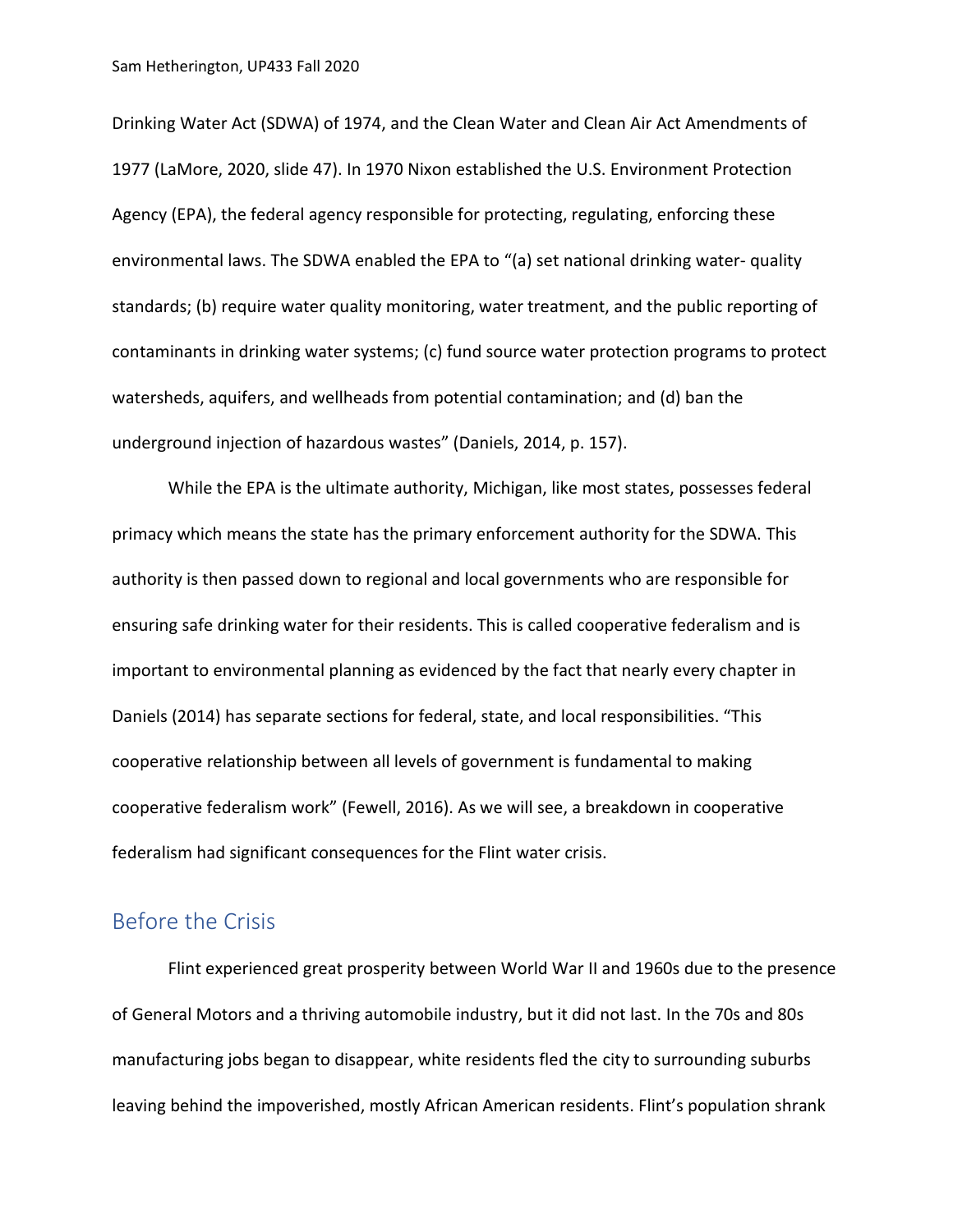Drinking Water Act (SDWA) of 1974, and the Clean Water and Clean Air Act Amendments of 1977 (LaMore, 2020, slide 47). In 1970 Nixon established the U.S. Environment Protection Agency (EPA), the federal agency responsible for protecting, regulating, enforcing these environmental laws. The SDWA enabled the EPA to "(a) set national drinking water- quality standards; (b) require water quality monitoring, water treatment, and the public reporting of contaminants in drinking water systems; (c) fund source water protection programs to protect watersheds, aquifers, and wellheads from potential contamination; and (d) ban the underground injection of hazardous wastes" (Daniels, 2014, p. 157).

While the EPA is the ultimate authority, Michigan, like most states, possesses federal primacy which means the state has the primary enforcement authority for the SDWA. This authority is then passed down to regional and local governments who are responsible for ensuring safe drinking water for their residents. This is called cooperative federalism and is important to environmental planning as evidenced by the fact that nearly every chapter in Daniels (2014) has separate sections for federal, state, and local responsibilities. "This cooperative relationship between all levels of government is fundamental to making cooperative federalism work" (Fewell, 2016). As we will see, a breakdown in cooperative federalism had significant consequences for the Flint water crisis.

## Before the Crisis

Flint experienced great prosperity between World War II and 1960s due to the presence of General Motors and a thriving automobile industry, but it did not last. In the 70s and 80s manufacturing jobs began to disappear, white residents fled the city to surrounding suburbs leaving behind the impoverished, mostly African American residents. Flint's population shrank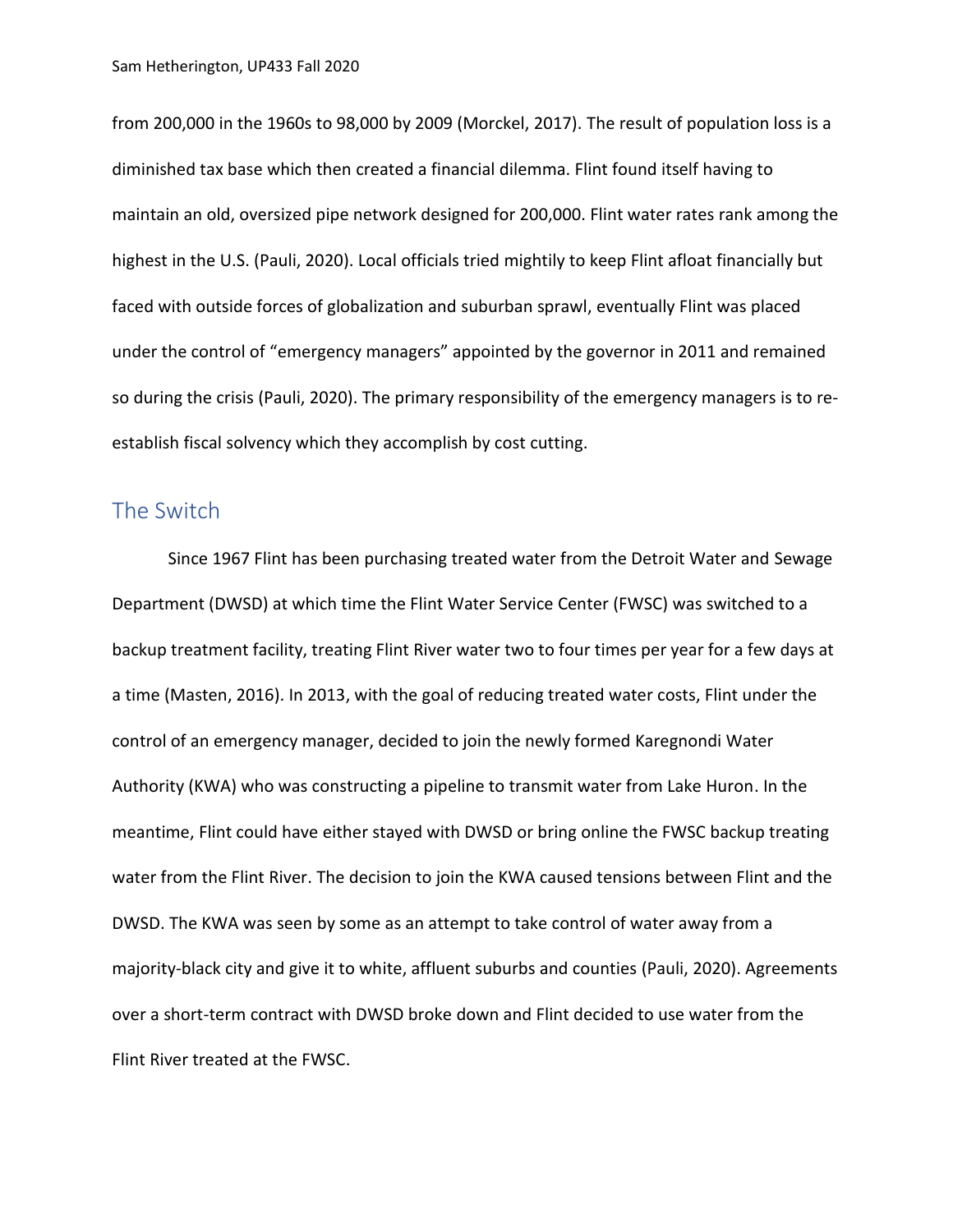from 200,000 in the 1960s to 98,000 by 2009 (Morckel, 2017). The result of population loss is a diminished tax base which then created a financial dilemma. Flint found itself having to maintain an old, oversized pipe network designed for 200,000. Flint water rates rank among the highest in the U.S. (Pauli, 2020). Local officials tried mightily to keep Flint afloat financially but faced with outside forces of globalization and suburban sprawl, eventually Flint was placed under the control of "emergency managers" appointed by the governor in 2011 and remained so during the crisis (Pauli, 2020). The primary responsibility of the emergency managers is to reestablish fiscal solvency which they accomplish by cost cutting.

### The Switch

Since 1967 Flint has been purchasing treated water from the Detroit Water and Sewage Department (DWSD) at which time the Flint Water Service Center (FWSC) was switched to a backup treatment facility, treating Flint River water two to four times per year for a few days at a time (Masten, 2016). In 2013, with the goal of reducing treated water costs, Flint under the control of an emergency manager, decided to join the newly formed Karegnondi Water Authority (KWA) who was constructing a pipeline to transmit water from Lake Huron. In the meantime, Flint could have either stayed with DWSD or bring online the FWSC backup treating water from the Flint River. The decision to join the KWA caused tensions between Flint and the DWSD. The KWA was seen by some as an attempt to take control of water away from a majority-black city and give it to white, affluent suburbs and counties (Pauli, 2020). Agreements over a short-term contract with DWSD broke down and Flint decided to use water from the Flint River treated at the FWSC.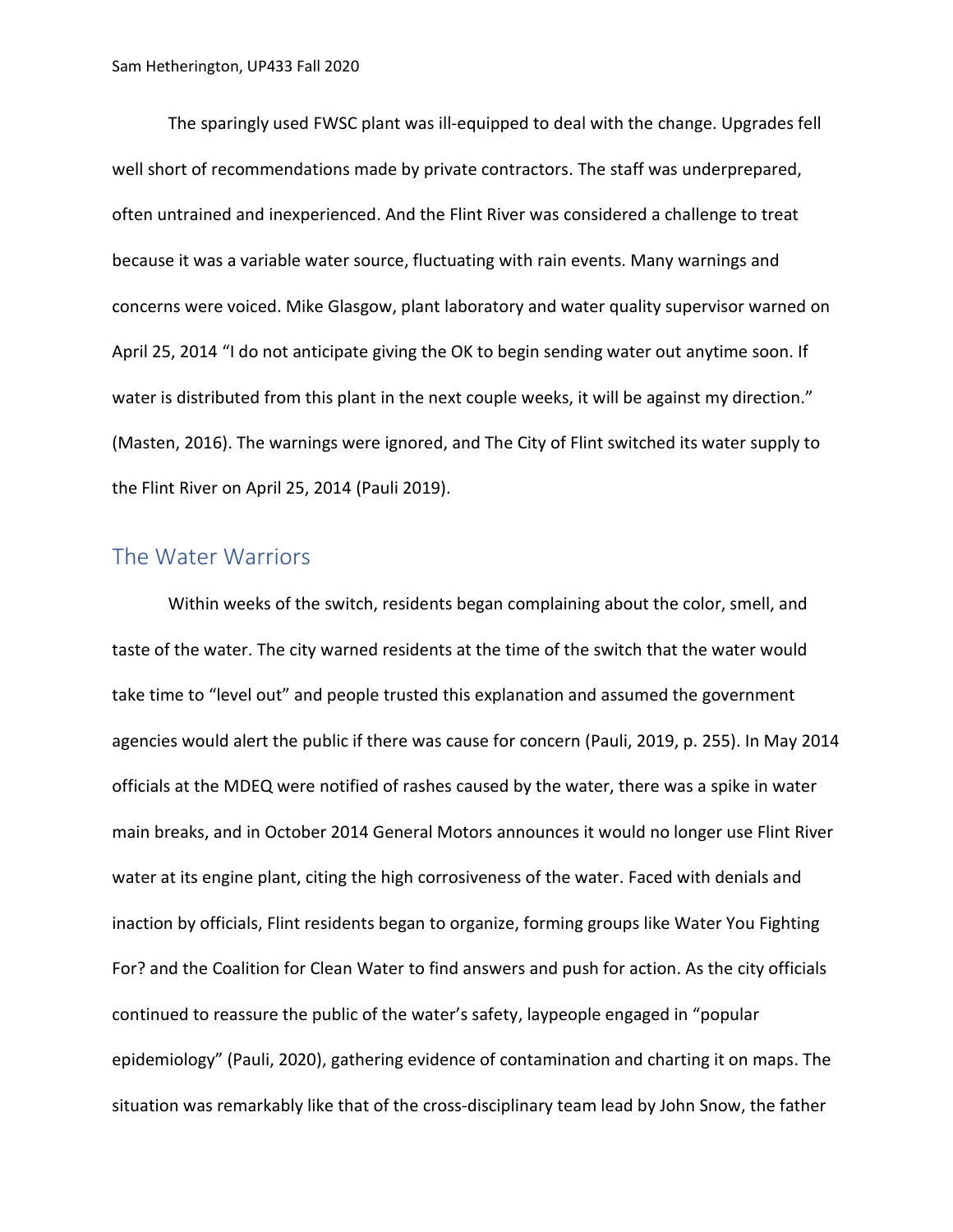The sparingly used FWSC plant was ill-equipped to deal with the change. Upgrades fell well short of recommendations made by private contractors. The staff was underprepared, often untrained and inexperienced. And the Flint River was considered a challenge to treat because it was a variable water source, fluctuating with rain events. Many warnings and concerns were voiced. Mike Glasgow, plant laboratory and water quality supervisor warned on April 25, 2014 "I do not anticipate giving the OK to begin sending water out anytime soon. If water is distributed from this plant in the next couple weeks, it will be against my direction." (Masten, 2016). The warnings were ignored, and The City of Flint switched its water supply to the Flint River on April 25, 2014 (Pauli 2019).

#### The Water Warriors

Within weeks of the switch, residents began complaining about the color, smell, and taste of the water. The city warned residents at the time of the switch that the water would take time to "level out" and people trusted this explanation and assumed the government agencies would alert the public if there was cause for concern (Pauli, 2019, p. 255). In May 2014 officials at the MDEQ were notified of rashes caused by the water, there was a spike in water main breaks, and in October 2014 General Motors announces it would no longer use Flint River water at its engine plant, citing the high corrosiveness of the water. Faced with denials and inaction by officials, Flint residents began to organize, forming groups like Water You Fighting For? and the Coalition for Clean Water to find answers and push for action. As the city officials continued to reassure the public of the water's safety, laypeople engaged in "popular epidemiology" (Pauli, 2020), gathering evidence of contamination and charting it on maps. The situation was remarkably like that of the cross-disciplinary team lead by John Snow, the father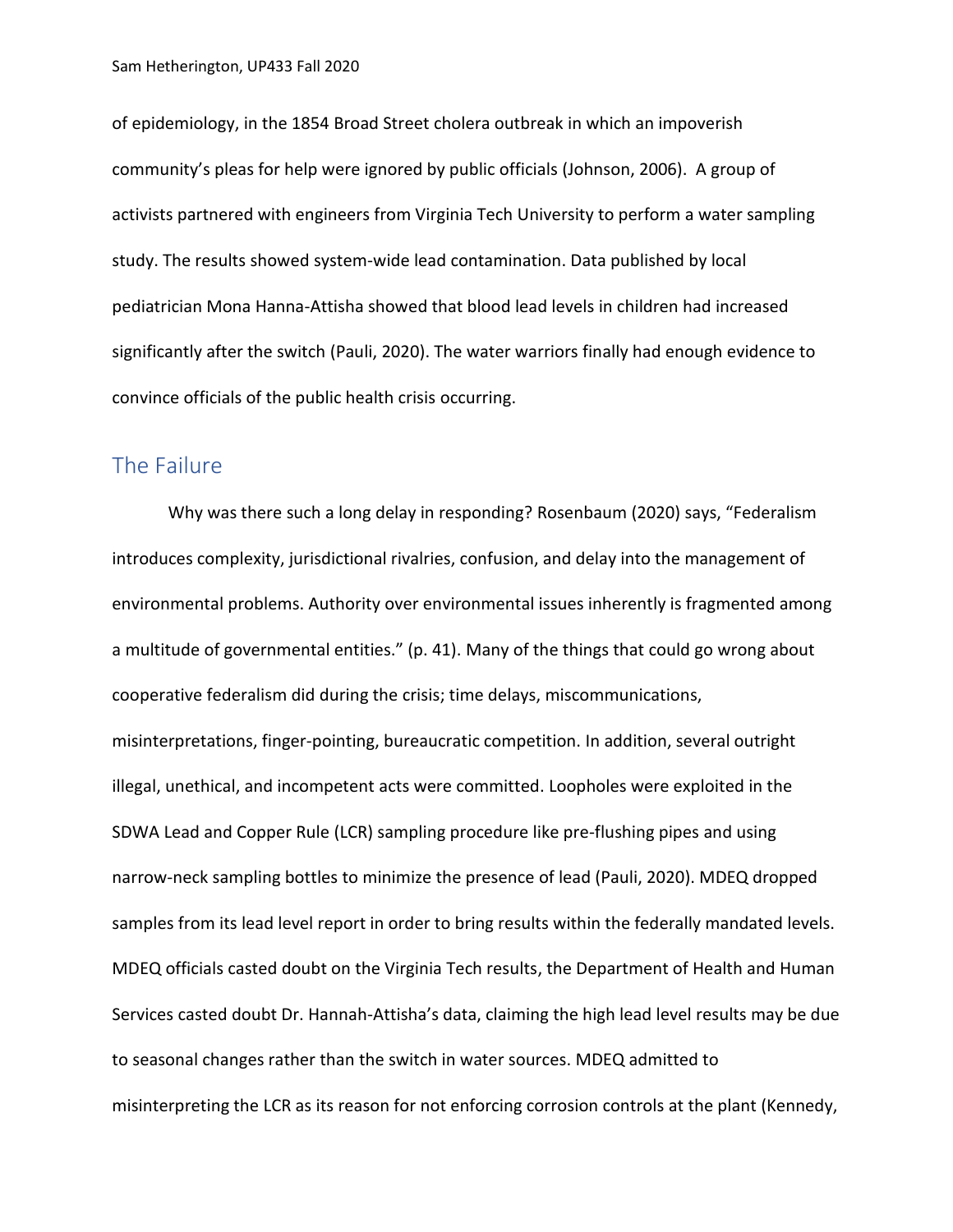of epidemiology, in the 1854 Broad Street cholera outbreak in which an impoverish community's pleas for help were ignored by public officials (Johnson, 2006). A group of activists partnered with engineers from Virginia Tech University to perform a water sampling study. The results showed system-wide lead contamination. Data published by local pediatrician Mona Hanna-Attisha showed that blood lead levels in children had increased significantly after the switch (Pauli, 2020). The water warriors finally had enough evidence to convince officials of the public health crisis occurring.

#### The Failure

Why was there such a long delay in responding? Rosenbaum (2020) says, "Federalism introduces complexity, jurisdictional rivalries, confusion, and delay into the management of environmental problems. Authority over environmental issues inherently is fragmented among a multitude of governmental entities." (p. 41). Many of the things that could go wrong about cooperative federalism did during the crisis; time delays, miscommunications, misinterpretations, finger-pointing, bureaucratic competition. In addition, several outright illegal, unethical, and incompetent acts were committed. Loopholes were exploited in the SDWA Lead and Copper Rule (LCR) sampling procedure like pre-flushing pipes and using narrow-neck sampling bottles to minimize the presence of lead (Pauli, 2020). MDEQ dropped samples from its lead level report in order to bring results within the federally mandated levels. MDEQ officials casted doubt on the Virginia Tech results, the Department of Health and Human Services casted doubt Dr. Hannah-Attisha's data, claiming the high lead level results may be due to seasonal changes rather than the switch in water sources. MDEQ admitted to misinterpreting the LCR as its reason for not enforcing corrosion controls at the plant (Kennedy,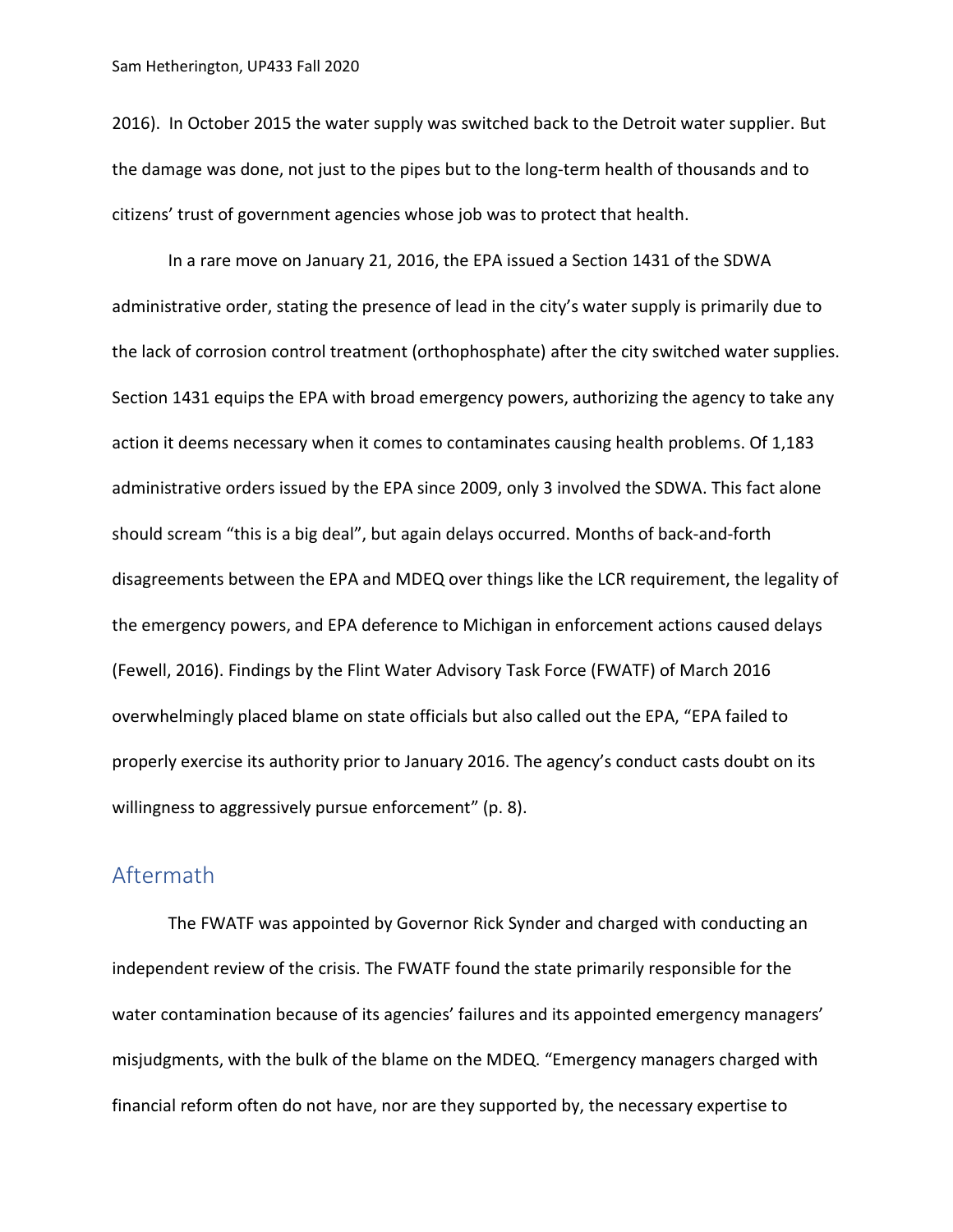2016). In October 2015 the water supply was switched back to the Detroit water supplier. But the damage was done, not just to the pipes but to the long-term health of thousands and to citizens' trust of government agencies whose job was to protect that health.

In a rare move on January 21, 2016, the EPA issued a Section 1431 of the SDWA administrative order, stating the presence of lead in the city's water supply is primarily due to the lack of corrosion control treatment (orthophosphate) after the city switched water supplies. Section 1431 equips the EPA with broad emergency powers, authorizing the agency to take any action it deems necessary when it comes to contaminates causing health problems. Of 1,183 administrative orders issued by the EPA since 2009, only 3 involved the SDWA. This fact alone should scream "this is a big deal", but again delays occurred. Months of back-and-forth disagreements between the EPA and MDEQ over things like the LCR requirement, the legality of the emergency powers, and EPA deference to Michigan in enforcement actions caused delays (Fewell, 2016). Findings by the Flint Water Advisory Task Force (FWATF) of March 2016 overwhelmingly placed blame on state officials but also called out the EPA, "EPA failed to properly exercise its authority prior to January 2016. The agency's conduct casts doubt on its willingness to aggressively pursue enforcement" (p. 8).

# Aftermath

The FWATF was appointed by Governor Rick Synder and charged with conducting an independent review of the crisis. The FWATF found the state primarily responsible for the water contamination because of its agencies' failures and its appointed emergency managers' misjudgments, with the bulk of the blame on the MDEQ. "Emergency managers charged with financial reform often do not have, nor are they supported by, the necessary expertise to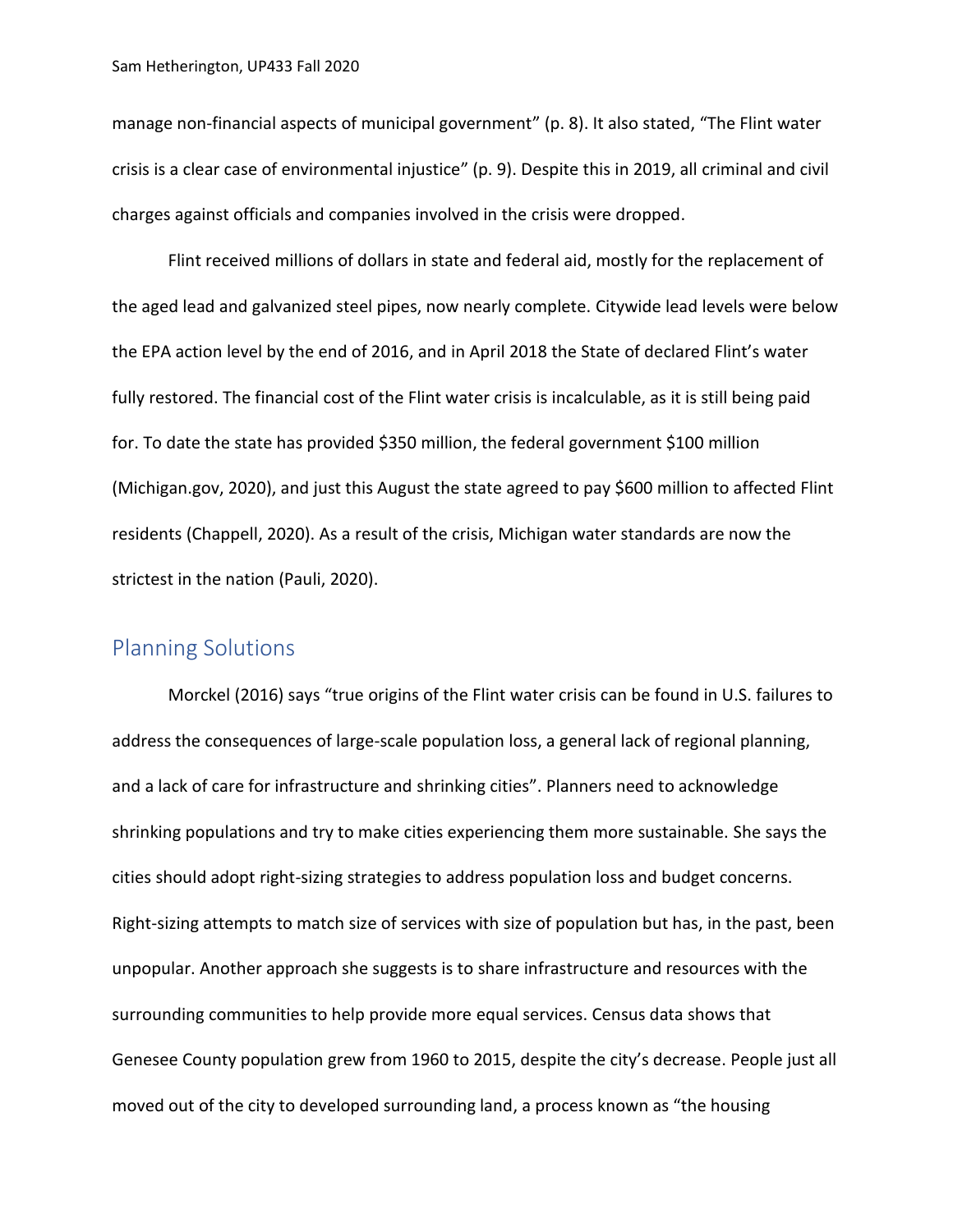manage non-financial aspects of municipal government" (p. 8). It also stated, "The Flint water crisis is a clear case of environmental injustice" (p. 9). Despite this in 2019, all criminal and civil charges against officials and companies involved in the crisis were dropped.

Flint received millions of dollars in state and federal aid, mostly for the replacement of the aged lead and galvanized steel pipes, now nearly complete. Citywide lead levels were below the EPA action level by the end of 2016, and in April 2018 the State of declared Flint's water fully restored. The financial cost of the Flint water crisis is incalculable, as it is still being paid for. To date the state has provided \$350 million, the federal government \$100 million (Michigan.gov, 2020), and just this August the state agreed to pay \$600 million to affected Flint residents (Chappell, 2020). As a result of the crisis, Michigan water standards are now the strictest in the nation (Pauli, 2020).

### Planning Solutions

Morckel (2016) says "true origins of the Flint water crisis can be found in U.S. failures to address the consequences of large-scale population loss, a general lack of regional planning, and a lack of care for infrastructure and shrinking cities". Planners need to acknowledge shrinking populations and try to make cities experiencing them more sustainable. She says the cities should adopt right-sizing strategies to address population loss and budget concerns. Right-sizing attempts to match size of services with size of population but has, in the past, been unpopular. Another approach she suggests is to share infrastructure and resources with the surrounding communities to help provide more equal services. Census data shows that Genesee County population grew from 1960 to 2015, despite the city's decrease. People just all moved out of the city to developed surrounding land, a process known as "the housing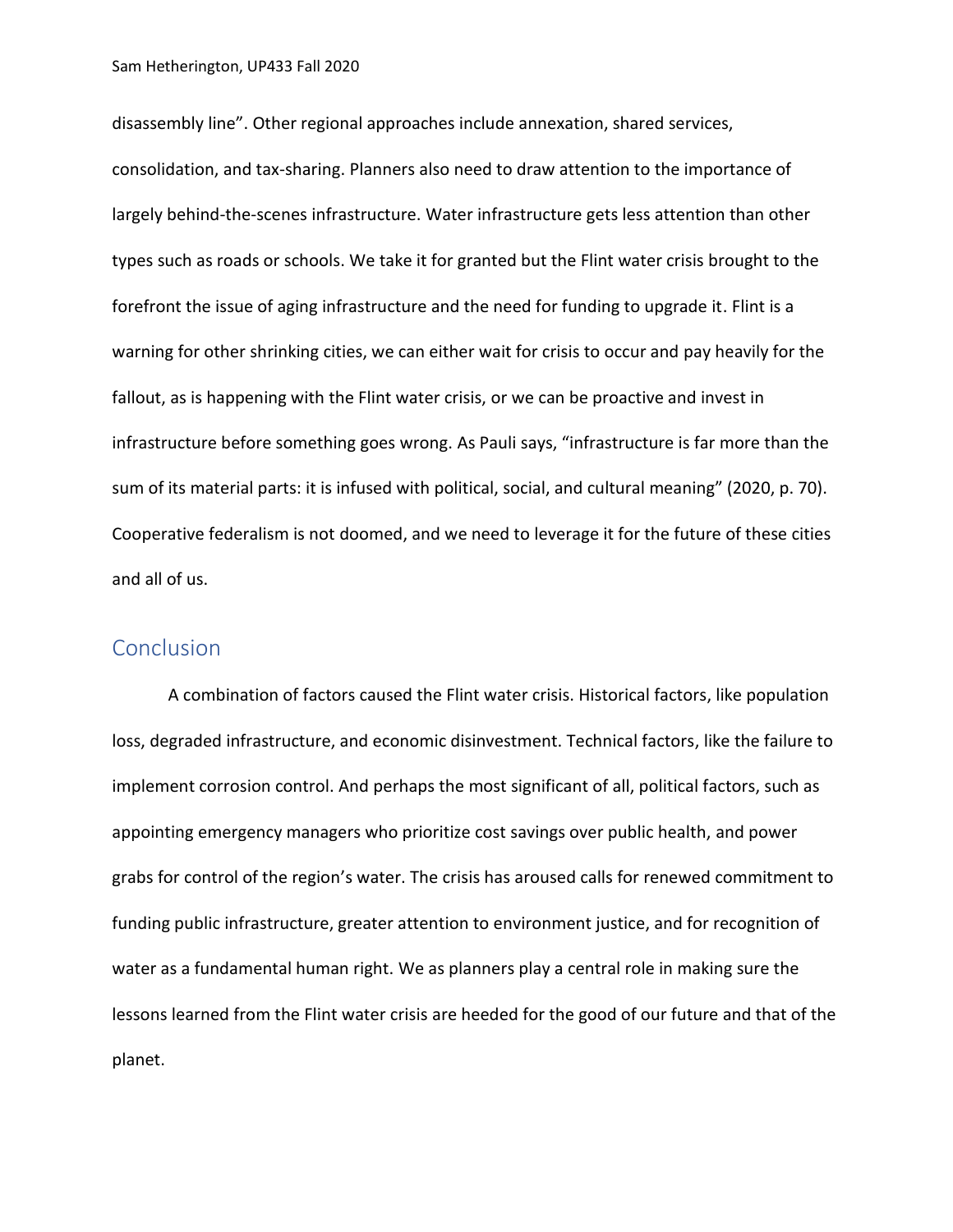disassembly line". Other regional approaches include annexation, shared services, consolidation, and tax-sharing. Planners also need to draw attention to the importance of largely behind-the-scenes infrastructure. Water infrastructure gets less attention than other types such as roads or schools. We take it for granted but the Flint water crisis brought to the forefront the issue of aging infrastructure and the need for funding to upgrade it. Flint is a warning for other shrinking cities, we can either wait for crisis to occur and pay heavily for the fallout, as is happening with the Flint water crisis, or we can be proactive and invest in infrastructure before something goes wrong. As Pauli says, "infrastructure is far more than the sum of its material parts: it is infused with political, social, and cultural meaning" (2020, p. 70). Cooperative federalism is not doomed, and we need to leverage it for the future of these cities and all of us.

### **Conclusion**

A combination of factors caused the Flint water crisis. Historical factors, like population loss, degraded infrastructure, and economic disinvestment. Technical factors, like the failure to implement corrosion control. And perhaps the most significant of all, political factors, such as appointing emergency managers who prioritize cost savings over public health, and power grabs for control of the region's water. The crisis has aroused calls for renewed commitment to funding public infrastructure, greater attention to environment justice, and for recognition of water as a fundamental human right. We as planners play a central role in making sure the lessons learned from the Flint water crisis are heeded for the good of our future and that of the planet.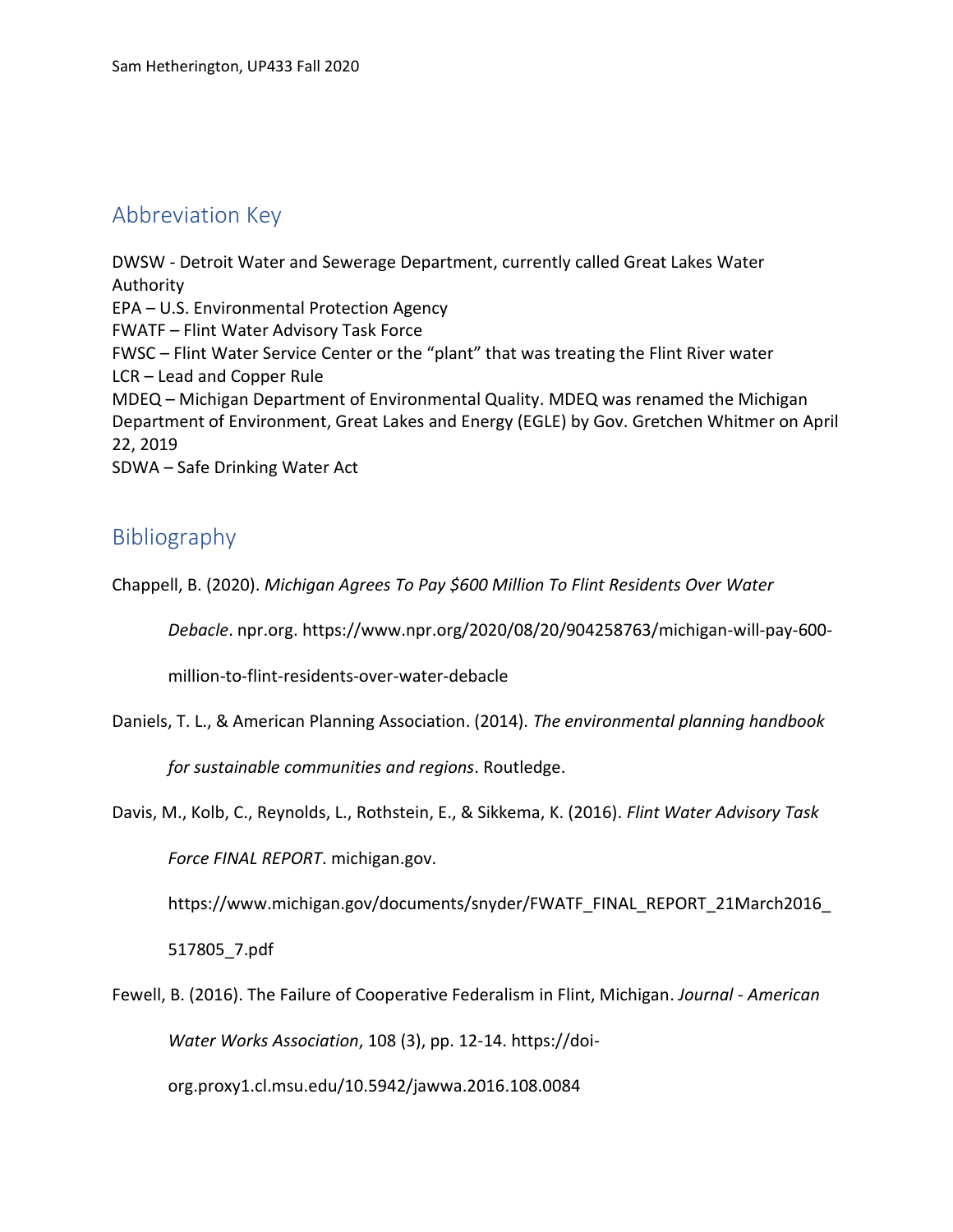# Abbreviation Key

DWSW - Detroit Water and Sewerage Department, currently called Great Lakes Water Authority EPA – U.S. Environmental Protection Agency FWATF – Flint Water Advisory Task Force FWSC – Flint Water Service Center or the "plant" that was treating the Flint River water LCR – Lead and Copper Rule MDEQ – Michigan Department of Environmental Quality. MDEQ was renamed the Michigan Department of Environment, Great Lakes and Energy (EGLE) by Gov. Gretchen Whitmer on April 22, 2019 SDWA – Safe Drinking Water Act

# Bibliography

Chappell, B. (2020). *Michigan Agrees To Pay \$600 Million To Flint Residents Over Water* 

*Debacle*. npr.org. https://www.npr.org/2020/08/20/904258763/michigan-will-pay-600-

million-to-flint-residents-over-water-debacle

Daniels, T. L., & American Planning Association. (2014). *The environmental planning handbook* 

*for sustainable communities and regions*. Routledge.

Davis, M., Kolb, C., Reynolds, L., Rothstein, E., & Sikkema, K. (2016). *Flint Water Advisory Task* 

*Force FINAL REPORT*. michigan.gov.

https://www.michigan.gov/documents/snyder/FWATF\_FINAL\_REPORT\_21March2016\_

517805\_7.pdf

Fewell, B. (2016). The Failure of Cooperative Federalism in Flint, Michigan. *Journal - American Water Works Association*, 108 (3), pp. 12-14. https://doiorg.proxy1.cl.msu.edu/10.5942/jawwa.2016.108.0084